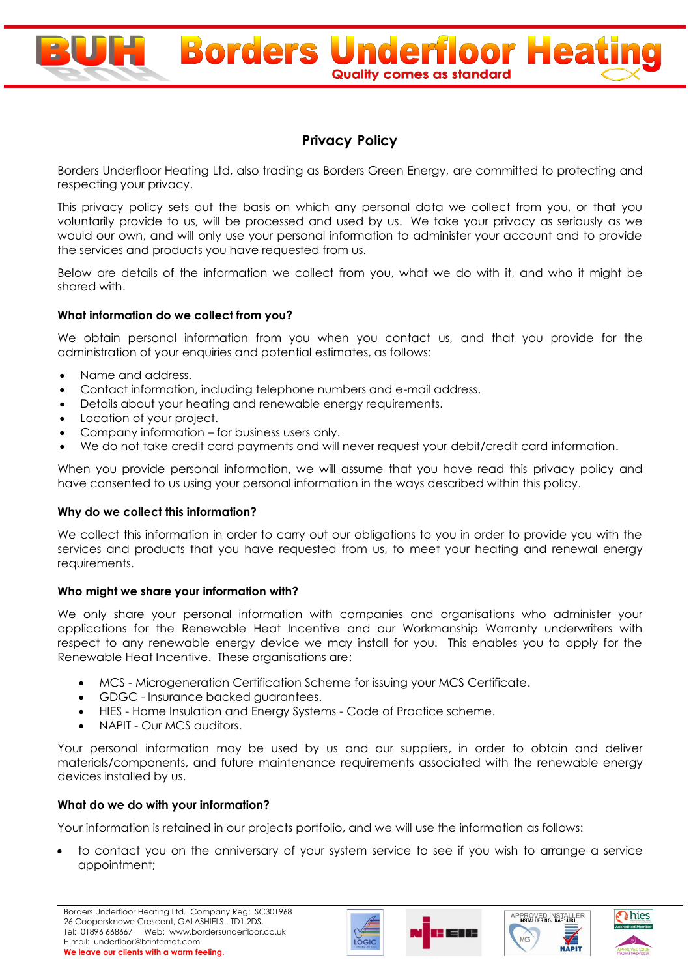

# **Privacy Policy**

**Borders Underfloor Heating Quality comes as standard** 

Borders Underfloor Heating Ltd, also trading as Borders Green Energy, are committed to protecting and respecting your privacy.

This privacy policy sets out the basis on which any personal data we collect from you, or that you voluntarily provide to us, will be processed and used by us. We take your privacy as seriously as we would our own, and will only use your personal information to administer your account and to provide the services and products you have requested from us.

Below are details of the information we collect from you, what we do with it, and who it might be shared with.

# **What information do we collect from you?**

We obtain personal information from you when you contact us, and that you provide for the administration of your enquiries and potential estimates, as follows:

- Name and address.
- Contact information, including telephone numbers and e-mail address.
- Details about your heating and renewable energy requirements.
- Location of your project.
- Company information for business users only.
- We do not take credit card payments and will never request your debit/credit card information.

When you provide personal information, we will assume that you have read this privacy policy and have consented to us using your personal information in the ways described within this policy.

# **Why do we collect this information?**

We collect this information in order to carry out our obligations to you in order to provide you with the services and products that you have requested from us, to meet your heating and renewal energy requirements.

# **Who might we share your information with?**

We only share your personal information with companies and organisations who administer your applications for the Renewable Heat Incentive and our Workmanship Warranty underwriters with respect to any renewable energy device we may install for you. This enables you to apply for the Renewable Heat Incentive. These organisations are:

- MCS Microgeneration Certification Scheme for issuing your MCS Certificate.
- GDGC Insurance backed guarantees.
- HIES Home Insulation and Energy Systems Code of Practice scheme.
- NAPIT Our MCS auditors.

Your personal information may be used by us and our suppliers, in order to obtain and deliver materials/components, and future maintenance requirements associated with the renewable energy devices installed by us.

# **What do we do with your information?**

Your information is retained in our projects portfolio, and we will use the information as follows:

 to contact you on the anniversary of your system service to see if you wish to arrange a service appointment;